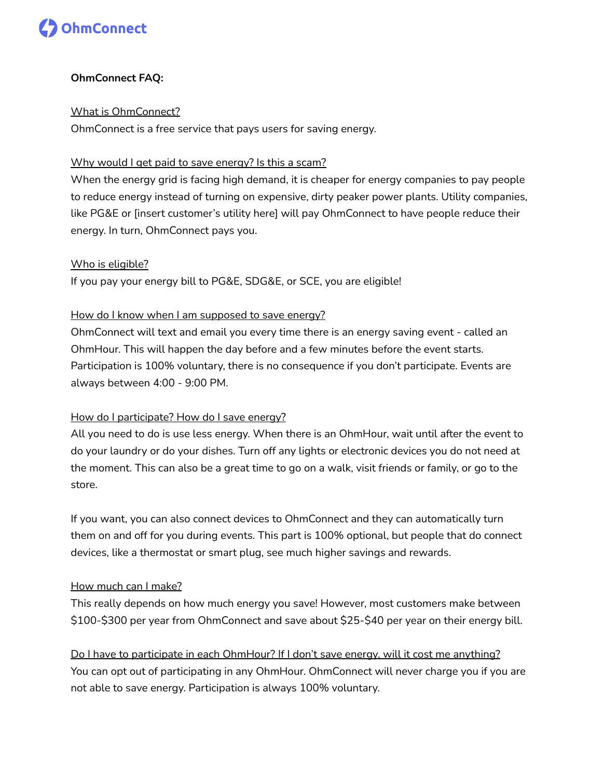

# **OhmConnect FAQ:**

### What is OhmConnect?

OhmConnect is a free service that pays users for saving energy.

# Why would I get paid to save energy? Is this a scam?

When the energy grid is facing high demand, it is cheaper for energy companies to pay people to reduce energy instead of turning on expensive, dirty peaker power plants. Utility companies, like PG&E or [insert customer's utility here] will pay OhmConnect to have people reduce their energy. In turn, OhmConnect pays you.

#### Who is eligible?

If you pay your energy bill to PG&E, SDG&E, or SCE, you are eligible!

# How do I know when I am supposed to save energy?

OhmConnect will text and email you every time there is an energy saving event - called an OhmHour. This will happen the day before and a few minutes before the event starts. Participation is 100% voluntary, there is no consequence if you don't participate. Events are always between 4:00 - 9:00 PM.

# How do I participate? How do I save energy?

All you need to do is use less energy. When there is an OhmHour, wait until after the event to do your laundry or do your dishes. Turn off any lights or electronic devices you do not need at the moment. This can also be a great time to go on a walk, visit friends or family, or go to the store.

If you want, you can also connect devices to OhmConnect and they can automatically turn them on and off for you during events. This part is 100% optional, but people that do connect devices, like a thermostat or smart plug, see much higher savings and rewards.

# How much can I make?

This really depends on how much energy you save! However, most customers make between \$100-\$300 per year from OhmConnect and save about \$25-\$40 per year on their energy bill.

Do I have to participate in each OhmHour? If I don't save energy, will it cost me anything? You can opt out of participating in any OhmHour. OhmConnect will never charge you if you are not able to save energy. Participation is always 100% voluntary.